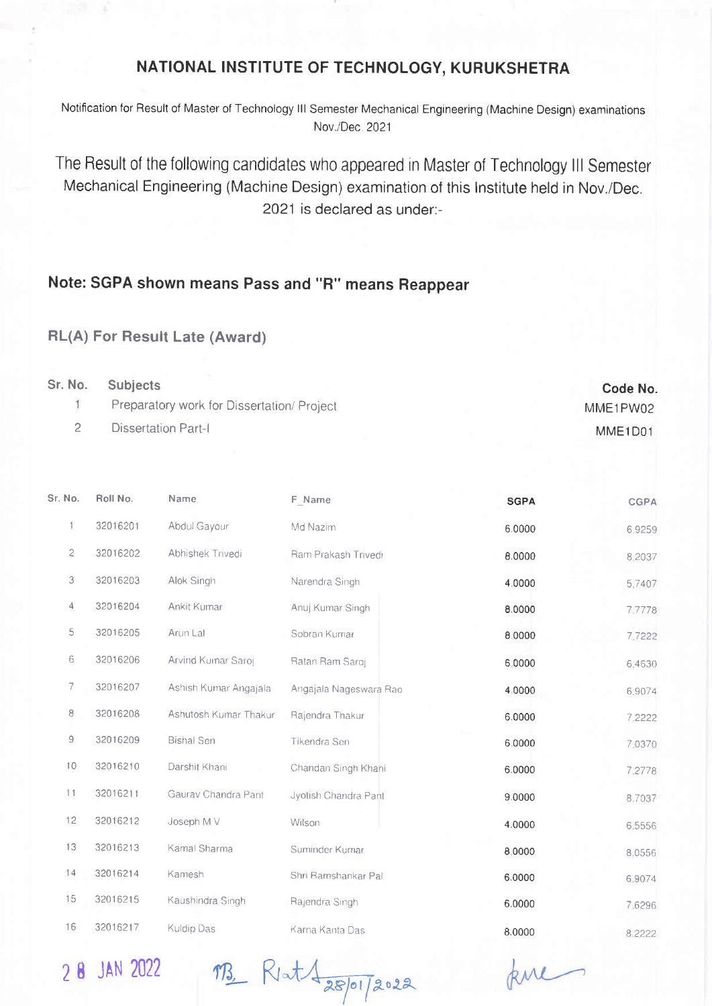## NATIONAL INSTITUTE OF TECHNOLOGY, KURUKSHETRA

Notification tor Result of Master of Technology lll Semester Mechanical Engineering (Machine Design) examinations Nov./Dec 2021

The Result of the following candidates who appeared in Master of Technology lll Semester Mechanical Engineering (Machine Design) examination of this lnstitute held in Nov./Dec. 2021 is declared as under:-

## Note: SGPA shown means Pass and "R" means Reappear

## RL(A) For Result Late (Award)

| Sr. No. | <b>Subjects</b>                           | Code No. |
|---------|-------------------------------------------|----------|
|         | Preparatory work for Dissertation/Project | MME1PW02 |
|         | <b>Dissertation Part-I</b>                | MME1D01  |

| Sr. No.      | Roll No. | Name                  | F_Name                 | <b>SGPA</b> | <b>CGPA</b> |
|--------------|----------|-----------------------|------------------------|-------------|-------------|
| $\mathbf{1}$ | 32016201 | Abdul Gayour          | Md Nazim               | 6.0000      | 6.9259      |
| 2            | 32016202 | Abhishek Trivedi      | Ram Prakash Trivedi    | 8.0000      | 8,2037      |
| 3            | 32016203 | Alok Singh            | Narendra Singh         | 4.0000      | 5,7407      |
| 4            | 32016204 | Ankit Kumar           | Anuj Kumar Singh       | 8.0000      | 7.7778      |
| 5            | 32016205 | Arun Lal              | Sobran Kumar           | 8 0000      | 7,7222      |
| 6            | 32016206 | Arvind Kuinar Saroj   | Ratan Ram Saroj        | 6.0000      | 6,4630      |
| 7            | 32016207 | Ashish Kumar Angajala | Angajala Nageswara Rao | 4.0000      | 6.9074      |
| 8            | 32016208 | Ashutosh Kumar Thakur | Rajendra Thakur        | 6.0000      | 7.2222      |
| 9            | 32016209 | <b>Bishal Sen</b>     | Tikendra Sen           | 6.0000      | 7.0370      |
| 10           | 32016210 | Darshit Khani         | Chandan Singh Khani    | 6.0000      | 7.2778      |
| 11           | 32016211 | Gaurav Chandra Pant   | Jyotish Chandra Pant   | 9.0000      | 8.7037      |
| 12           | 32016212 | Joseph M V            | Wilson                 | 4.0000      | 6.5556      |
| 13           | 32016213 | Kamal Sharma          | Suminder Kumar         | 8.0000      | 8,0556      |
| 14           | 32016214 | Kamesh                | Shri Ramshankar Pal    | 6.0000      | 6.9074      |
| 15           | 32016215 | Kaushindra Singh      | Rajendra Singh         | 6.0000      | 7.6296      |
| 16           | 32016217 | <b>Kuldip Das</b>     | Karna Kanta Das        | 8.0000      | 8.2222      |

2 8 JAN 2022 MB Riat 4 28/01/2022

kne